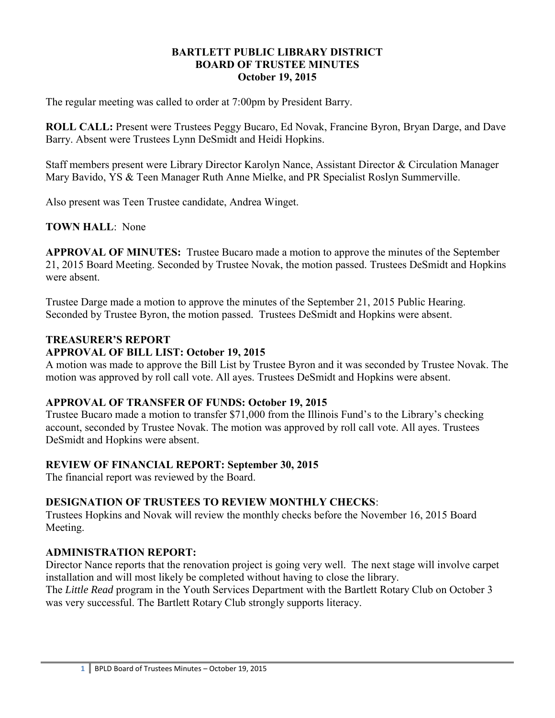#### **BARTLETT PUBLIC LIBRARY DISTRICT BOARD OF TRUSTEE MINUTES October 19, 2015**

The regular meeting was called to order at 7:00pm by President Barry.

**ROLL CALL:** Present were Trustees Peggy Bucaro, Ed Novak, Francine Byron, Bryan Darge, and Dave Barry. Absent were Trustees Lynn DeSmidt and Heidi Hopkins.

Staff members present were Library Director Karolyn Nance, Assistant Director & Circulation Manager Mary Bavido, YS & Teen Manager Ruth Anne Mielke, and PR Specialist Roslyn Summerville.

Also present was Teen Trustee candidate, Andrea Winget.

# **TOWN HALL**: None

**APPROVAL OF MINUTES:** Trustee Bucaro made a motion to approve the minutes of the September 21, 2015 Board Meeting. Seconded by Trustee Novak, the motion passed. Trustees DeSmidt and Hopkins were absent.

Trustee Darge made a motion to approve the minutes of the September 21, 2015 Public Hearing. Seconded by Trustee Byron, the motion passed. Trustees DeSmidt and Hopkins were absent.

# **TREASURER'S REPORT**

#### **APPROVAL OF BILL LIST: October 19, 2015**

A motion was made to approve the Bill List by Trustee Byron and it was seconded by Trustee Novak. The motion was approved by roll call vote. All ayes. Trustees DeSmidt and Hopkins were absent.

#### **APPROVAL OF TRANSFER OF FUNDS: October 19, 2015**

Trustee Bucaro made a motion to transfer \$71,000 from the Illinois Fund's to the Library's checking account, seconded by Trustee Novak. The motion was approved by roll call vote. All ayes. Trustees DeSmidt and Hopkins were absent.

#### **REVIEW OF FINANCIAL REPORT: September 30, 2015**

The financial report was reviewed by the Board.

# **DESIGNATION OF TRUSTEES TO REVIEW MONTHLY CHECKS**:

Trustees Hopkins and Novak will review the monthly checks before the November 16, 2015 Board Meeting.

#### **ADMINISTRATION REPORT:**

Director Nance reports that the renovation project is going very well. The next stage will involve carpet installation and will most likely be completed without having to close the library.

The *Little Read* program in the Youth Services Department with the Bartlett Rotary Club on October 3 was very successful. The Bartlett Rotary Club strongly supports literacy.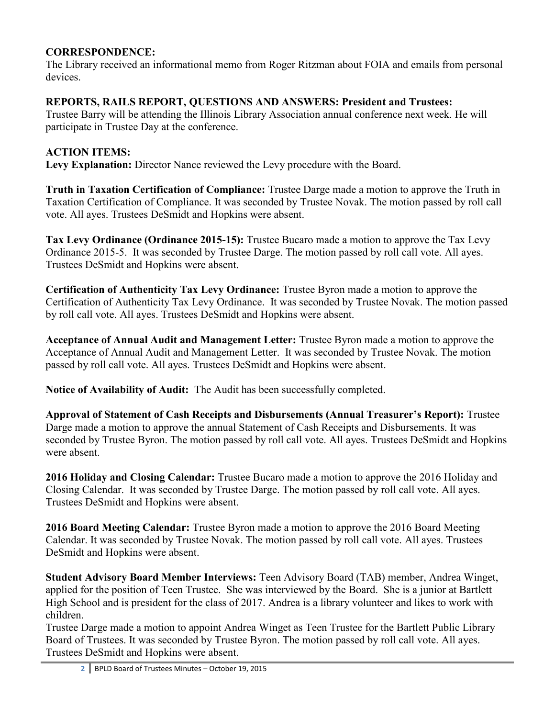## **CORRESPONDENCE:**

The Library received an informational memo from Roger Ritzman about FOIA and emails from personal devices.

### **REPORTS, RAILS REPORT, QUESTIONS AND ANSWERS: President and Trustees:**

Trustee Barry will be attending the Illinois Library Association annual conference next week. He will participate in Trustee Day at the conference.

# **ACTION ITEMS:**

**Levy Explanation:** Director Nance reviewed the Levy procedure with the Board.

**Truth in Taxation Certification of Compliance:** Trustee Darge made a motion to approve the Truth in Taxation Certification of Compliance. It was seconded by Trustee Novak. The motion passed by roll call vote. All ayes. Trustees DeSmidt and Hopkins were absent.

**Tax Levy Ordinance (Ordinance 2015-15):** Trustee Bucaro made a motion to approve the Tax Levy Ordinance 2015-5. It was seconded by Trustee Darge. The motion passed by roll call vote. All ayes. Trustees DeSmidt and Hopkins were absent.

**Certification of Authenticity Tax Levy Ordinance:** Trustee Byron made a motion to approve the Certification of Authenticity Tax Levy Ordinance. It was seconded by Trustee Novak. The motion passed by roll call vote. All ayes. Trustees DeSmidt and Hopkins were absent.

**Acceptance of Annual Audit and Management Letter:** Trustee Byron made a motion to approve the Acceptance of Annual Audit and Management Letter. It was seconded by Trustee Novak. The motion passed by roll call vote. All ayes. Trustees DeSmidt and Hopkins were absent.

**Notice of Availability of Audit:** The Audit has been successfully completed.

**Approval of Statement of Cash Receipts and Disbursements (Annual Treasurer's Report):** Trustee Darge made a motion to approve the annual Statement of Cash Receipts and Disbursements. It was seconded by Trustee Byron. The motion passed by roll call vote. All ayes. Trustees DeSmidt and Hopkins were absent.

**2016 Holiday and Closing Calendar:** Trustee Bucaro made a motion to approve the 2016 Holiday and Closing Calendar. It was seconded by Trustee Darge. The motion passed by roll call vote. All ayes. Trustees DeSmidt and Hopkins were absent.

**2016 Board Meeting Calendar:** Trustee Byron made a motion to approve the 2016 Board Meeting Calendar. It was seconded by Trustee Novak. The motion passed by roll call vote. All ayes. Trustees DeSmidt and Hopkins were absent.

**Student Advisory Board Member Interviews:** Teen Advisory Board (TAB) member, Andrea Winget, applied for the position of Teen Trustee. She was interviewed by the Board. She is a junior at Bartlett High School and is president for the class of 2017. Andrea is a library volunteer and likes to work with children.

Trustee Darge made a motion to appoint Andrea Winget as Teen Trustee for the Bartlett Public Library Board of Trustees. It was seconded by Trustee Byron. The motion passed by roll call vote. All ayes. Trustees DeSmidt and Hopkins were absent.